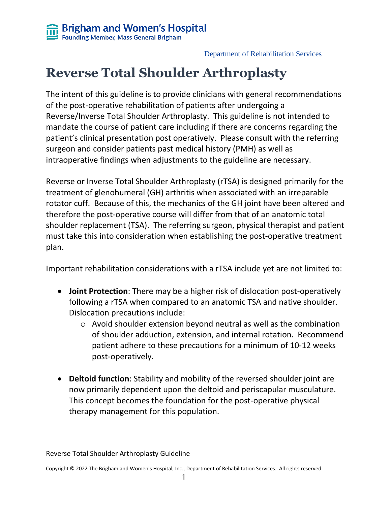# **Reverse Total Shoulder Arthroplasty**

The intent of this guideline is to provide clinicians with general recommendations of the post-operative rehabilitation of patients after undergoing a Reverse/Inverse Total Shoulder Arthroplasty. This guideline is not intended to mandate the course of patient care including if there are concerns regarding the patient's clinical presentation post operatively. Please consult with the referring surgeon and consider patients past medical history (PMH) as well as intraoperative findings when adjustments to the guideline are necessary.

Reverse or Inverse Total Shoulder Arthroplasty (rTSA) is designed primarily for the treatment of glenohumeral (GH) arthritis when associated with an irreparable rotator cuff. Because of this, the mechanics of the GH joint have been altered and therefore the post-operative course will differ from that of an anatomic total shoulder replacement (TSA). The referring surgeon, physical therapist and patient must take this into consideration when establishing the post-operative treatment plan.

Important rehabilitation considerations with a rTSA include yet are not limited to:

- **Joint Protection**: There may be a higher risk of dislocation post-operatively following a rTSA when compared to an anatomic TSA and native shoulder. Dislocation precautions include:
	- o Avoid shoulder extension beyond neutral as well as the combination of shoulder adduction, extension, and internal rotation. Recommend patient adhere to these precautions for a minimum of 10-12 weeks post-operatively.
- **Deltoid function**: Stability and mobility of the reversed shoulder joint are now primarily dependent upon the deltoid and periscapular musculature. This concept becomes the foundation for the post-operative physical therapy management for this population.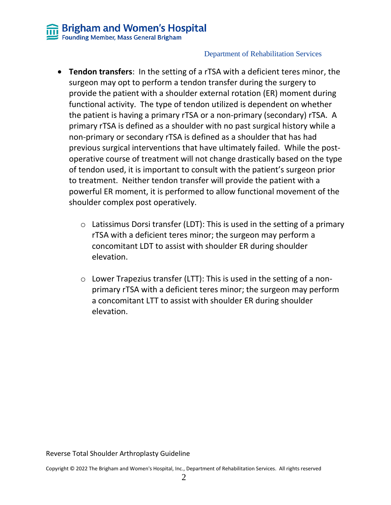- **Tendon transfers**: In the setting of a rTSA with a deficient teres minor, the surgeon may opt to perform a tendon transfer during the surgery to provide the patient with a shoulder external rotation (ER) moment during functional activity. The type of tendon utilized is dependent on whether the patient is having a primary rTSA or a non-primary (secondary) rTSA. A primary rTSA is defined as a shoulder with no past surgical history while a non-primary or secondary rTSA is defined as a shoulder that has had previous surgical interventions that have ultimately failed. While the postoperative course of treatment will not change drastically based on the type of tendon used, it is important to consult with the patient's surgeon prior to treatment. Neither tendon transfer will provide the patient with a powerful ER moment, it is performed to allow functional movement of the shoulder complex post operatively.
	- $\circ$  Latissimus Dorsi transfer (LDT): This is used in the setting of a primary rTSA with a deficient teres minor; the surgeon may perform a concomitant LDT to assist with shoulder ER during shoulder elevation.
	- $\circ$  Lower Trapezius transfer (LTT): This is used in the setting of a nonprimary rTSA with a deficient teres minor; the surgeon may perform a concomitant LTT to assist with shoulder ER during shoulder elevation.

Reverse Total Shoulder Arthroplasty Guideline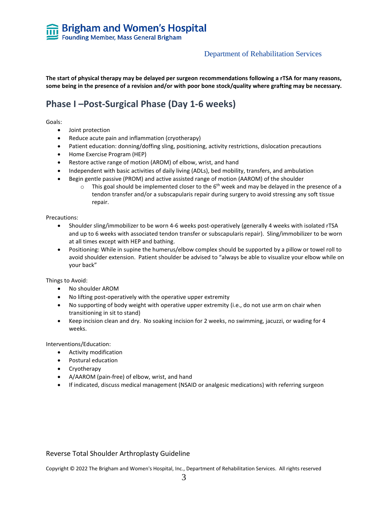**The start of physical therapy may be delayed per surgeon recommendations following a rTSA for many reasons, some being in the presence of a revision and/or with poor bone stock/quality where grafting may be necessary.** 

# **Phase I –Post-Surgical Phase (Day 1-6 weeks)**

Goals:

- Joint protection
- Reduce acute pain and inflammation (cryotherapy)
- Patient education: donning/doffing sling, positioning, activity restrictions, dislocation precautions
- Home Exercise Program (HEP)
- Restore active range of motion (AROM) of elbow, wrist, and hand
- Independent with basic activities of daily living (ADLs), bed mobility, transfers, and ambulation
- Begin gentle passive (PROM) and active assisted range of motion (AAROM) of the shoulder
	- $\circ$  This goal should be implemented closer to the 6<sup>th</sup> week and may be delayed in the presence of a tendon transfer and/or a subscapularis repair during surgery to avoid stressing any soft tissue repair.

Precautions:

- Shoulder sling/immobilizer to be worn 4-6 weeks post-operatively (generally 4 weeks with isolated rTSA and up to 6 weeks with associated tendon transfer or subscapularis repair). Sling/immobilizer to be worn at all times except with HEP and bathing.
- Positioning: While in supine the humerus/elbow complex should be supported by a pillow or towel roll to avoid shoulder extension. Patient shoulder be advised to "always be able to visualize your elbow while on your back"

Things to Avoid:

- No shoulder AROM
- No lifting post-operatively with the operative upper extremity
- No supporting of body weight with operative upper extremity (i.e., do not use arm on chair when transitioning in sit to stand)
- Keep incision clean and dry. No soaking incision for 2 weeks, no swimming, jacuzzi, or wading for 4 weeks.

Interventions/Education:

- Activity modification
- Postural education
- Cryotherapy
- A/AAROM (pain-free) of elbow, wrist, and hand
- If indicated, discuss medical management (NSAID or analgesic medications) with referring surgeon

#### Reverse Total Shoulder Arthroplasty Guideline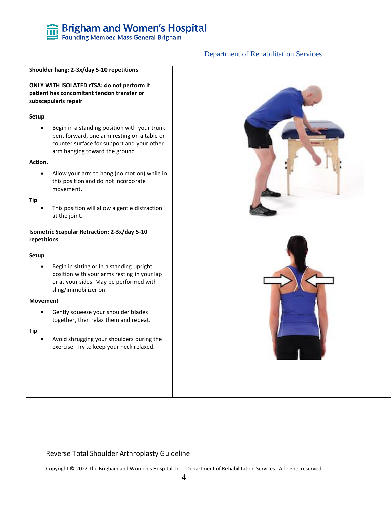#### Department of Rehabilitation Services



#### Reverse Total Shoulder Arthroplasty Guideline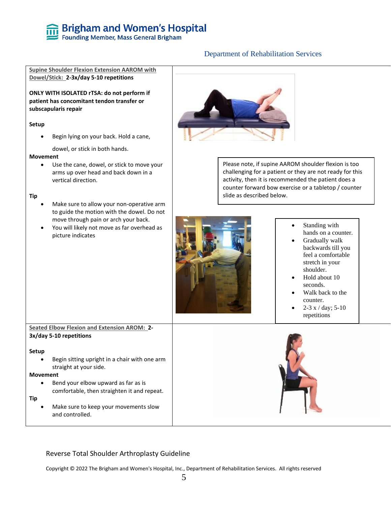#### Department of Rehabilitation Services

**Supine Shoulder Flexion Extension AAROM with Dowel/Stick: 2-3x/day 5-10 repetitions**

**ONLY WITH ISOLATED rTSA: do not perform if patient has concomitant tendon transfer or subscapularis repair**

#### **Setup**

• Begin lying on your back. Hold a cane,

dowel, or stick in both hands.

#### **Movement**

Use the cane, dowel, or stick to move your arms up over head and back down in a vertical direction.

#### **Tip**

- Make sure to allow your non-operative arm to guide the motion with the dowel. Do not move through pain or arch your back.
- You will likely not move as far overhead as picture indicates



Please note, if supine AAROM shoulder flexion is too challenging for a patient or they are not ready for this activity, then it is recommended the patient does a counter forward bow exercise or a tabletop / counter slide as described below.



- Standing with hands on a counter.
- Gradually walk backwards till you feel a comfortable stretch in your shoulder.
- Hold about 10 seconds.
- Walk back to the counter.
- 2-3 x / day;  $5-10$ repetitions

#### **Seated Elbow Flexion and Extension AROM: 2- 3x/day 5-10 repetitions**

#### **Setup**

• Begin sitting upright in a chair with one arm straight at your side.

#### **Movement**

• Bend your elbow upward as far as is comfortable, then straighten it and repeat.

#### **Tip**

• Make sure to keep your movements slow and controlled.



#### Reverse Total Shoulder Arthroplasty Guideline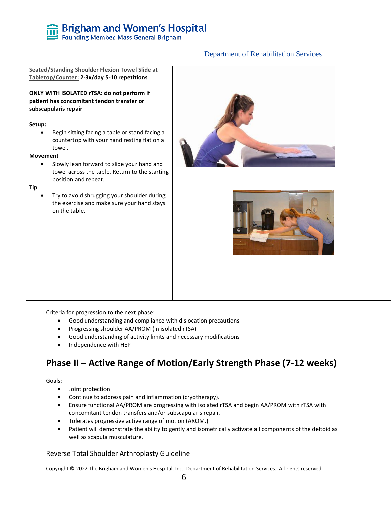# **Seated/Standing Shoulder Flexion Towel Slide at Tabletop/Counter: 2-3x/day 5-10 repetitions ONLY WITH ISOLATED rTSA: do not perform if patient has concomitant tendon transfer or subscapularis repair Setup:** • Begin sitting facing a table or stand facing a countertop with your hand resting flat on a towel. **Movement** • Slowly lean forward to slide your hand and towel across the table. Return to the starting position and repeat. **Tip** • Try to avoid shrugging your shoulder during the exercise and make sure your hand stays on the table.

Department of Rehabilitation Services

Criteria for progression to the next phase:

- Good understanding and compliance with dislocation precautions
- Progressing shoulder AA/PROM (in isolated rTSA)
- Good understanding of activity limits and necessary modifications
- Independence with HEP

### **Phase II – Active Range of Motion/Early Strength Phase (7-12 weeks)**

Goals:

- Joint protection
- Continue to address pain and inflammation (cryotherapy).
- Ensure functional AA/PROM are progressing with isolated rTSA and begin AA/PROM with rTSA with concomitant tendon transfers and/or subscapularis repair.
- Tolerates progressive active range of motion (AROM.)
- Patient will demonstrate the ability to gently and isometrically activate all components of the deltoid as well as scapula musculature.

#### Reverse Total Shoulder Arthroplasty Guideline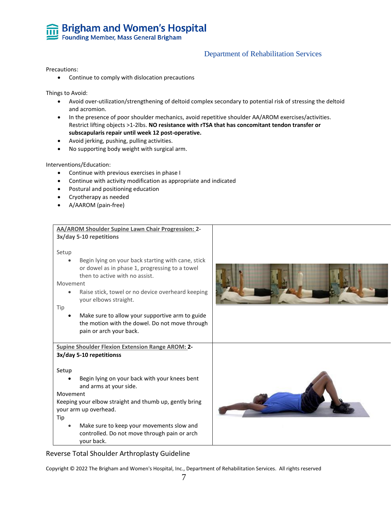#### Department of Rehabilitation Services

Precautions:

• Continue to comply with dislocation precautions

Things to Avoid:

- Avoid over-utilization/strengthening of deltoid complex secondary to potential risk of stressing the deltoid and acromion.
- In the presence of poor shoulder mechanics, avoid repetitive shoulder AA/AROM exercises/activities. Restrict lifting objects >1-2lbs. **NO resistance with rTSA that has concomitant tendon transfer or subscapularis repair until week 12 post-operative.**
- Avoid jerking, pushing, pulling activities.
- No supporting body weight with surgical arm.

Interventions/Education:

- Continue with previous exercises in phase I
- Continue with activity modification as appropriate and indicated
- Postural and positioning education
- Cryotherapy as needed
- A/AAROM (pain-free)

| AA/AROM Shoulder Supine Lawn Chair Progression: 2-<br>3x/day 5-10 repetitions                                                                                                                                                                                                                                                                                                                              |  |
|------------------------------------------------------------------------------------------------------------------------------------------------------------------------------------------------------------------------------------------------------------------------------------------------------------------------------------------------------------------------------------------------------------|--|
| Setup<br>Begin lying on your back starting with cane, stick<br>$\bullet$<br>or dowel as in phase 1, progressing to a towel<br>then to active with no assist.<br>Movement<br>Raise stick, towel or no device overheard keeping<br>$\bullet$<br>your elbows straight.<br>Tip<br>Make sure to allow your supportive arm to guide<br>the motion with the dowel. Do not move through<br>pain or arch your back. |  |
| <b>Supine Shoulder Flexion Extension Range AROM: 2-</b><br>3x/day 5-10 repetitionss                                                                                                                                                                                                                                                                                                                        |  |
| <b>Setup</b><br>Begin lying on your back with your knees bent<br>and arms at your side.<br>Movement<br>Keeping your elbow straight and thumb up, gently bring<br>your arm up overhead.<br>Tip<br>Make sure to keep your movements slow and<br>$\bullet$<br>controlled. Do not move through pain or arch<br>vour back.                                                                                      |  |

Reverse Total Shoulder Arthroplasty Guideline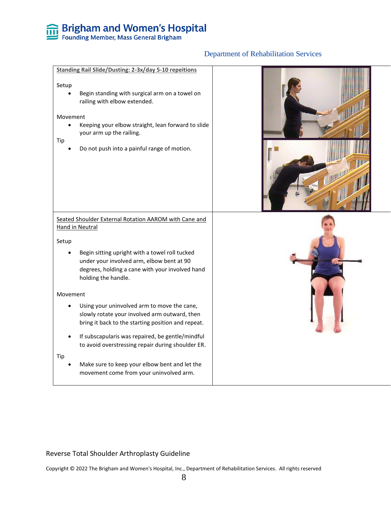# **EDIMENTIFY STATE STATE STATE STATE STATE STATE STATE STATE STATE STATE STATE STATE STATE STATE STATE STATE STATE STATE STATE STATE STATE STATE STATE STATE STATE STATE STATE STATE STATE STATE STATE STATE STATE STATE STATE**

### Department of Rehabilitation Services

| Setup<br>Movement<br>Tip | <b>Standing Rail Slide/Dusting: 2-3x/day 5-10 repeitions</b><br>Begin standing with surgical arm on a towel on<br>railing with elbow extended.<br>Keeping your elbow straight, lean forward to slide<br>your arm up the railing.<br>Do not push into a painful range of motion. |  |
|--------------------------|---------------------------------------------------------------------------------------------------------------------------------------------------------------------------------------------------------------------------------------------------------------------------------|--|
|                          | Seated Shoulder External Rotation AAROM with Cane and<br><b>Hand in Neutral</b>                                                                                                                                                                                                 |  |
| Setup                    | Begin sitting upright with a towel roll tucked<br>under your involved arm, elbow bent at 90<br>degrees, holding a cane with your involved hand<br>holding the handle.                                                                                                           |  |
| Movement                 |                                                                                                                                                                                                                                                                                 |  |
|                          | Using your uninvolved arm to move the cane,<br>slowly rotate your involved arm outward, then<br>bring it back to the starting position and repeat.                                                                                                                              |  |
|                          | If subscapularis was repaired, be gentle/mindful<br>to avoid overstressing repair during shoulder ER.                                                                                                                                                                           |  |
| Tip                      | Make sure to keep your elbow bent and let the<br>movement come from your uninvolved arm.                                                                                                                                                                                        |  |

#### Reverse Total Shoulder Arthroplasty Guideline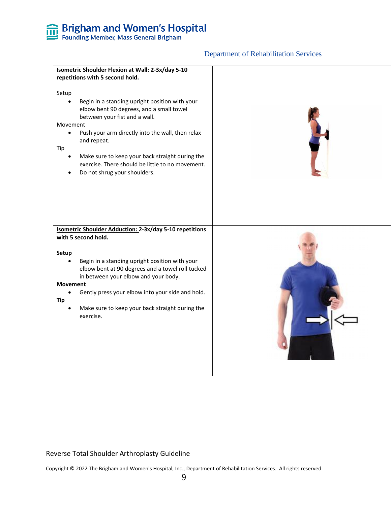#### Department of Rehabilitation Services



#### Reverse Total Shoulder Arthroplasty Guideline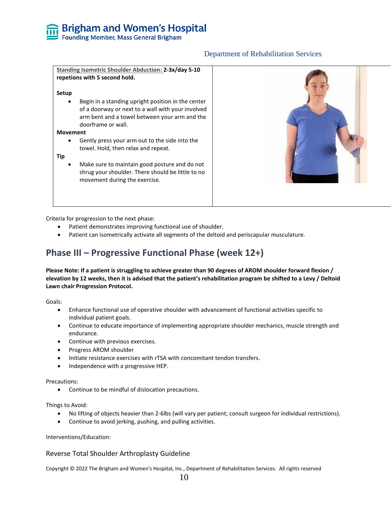#### **Standing Isometric Shoulder Abduction: 2-3x/day 5-10 repetions with 5 second hold.**

#### **Setup**

Begin in a standing upright position in the center of a doorway or next to a wall with your involved arm bent and a towel between your arm and the doorframe or wall.

#### **Movement**

• Gently press your arm out to the side into the towel. Hold, then relax and repeat.

#### **Tip**

• Make sure to maintain good posture and do not shrug your shoulder. There should be little to no movement during the exercise.



Criteria for progression to the next phase:

- Patient demonstrates improving functional use of shoulder.
- Patient can isometrically activate all segments of the deltoid and periscapular musculature.

# **Phase III – Progressive Functional Phase (week 12+)**

**Please Note: If a patient is struggling to achieve greater than 90 degrees of AROM shoulder forward flexion / elevation by 12 weeks, then it is advised that the patient's rehabilitation program be shifted to a Levy / Deltoid Lawn chair Progression Protocol.** 

Goals:

- Enhance functional use of operative shoulder with advancement of functional activities specific to individual patient goals.
- Continue to educate importance of implementing appropriate shoulder mechanics, muscle strength and endurance.
- Continue with previous exercises.
- Progress AROM shoulder
- Initiate resistance exercises with rTSA with concomitant tendon transfers.
- Independence with a progressive HEP.

#### Precautions:

• Continue to be mindful of dislocation precautions.

Things to Avoid:

- No lifting of objects heavier than 2-6lbs (will vary per patient; consult surgeon for individual restrictions).
- Continue to avoid jerking, pushing, and pulling activities.

Interventions/Education:

#### Reverse Total Shoulder Arthroplasty Guideline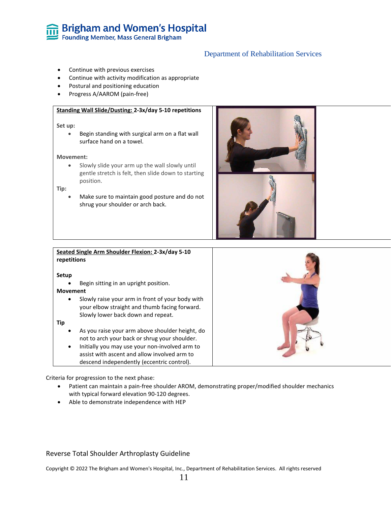#### Department of Rehabilitation Services

- Continue with previous exercises
- Continue with activity modification as appropriate
- Postural and positioning education
- Progress A/AAROM (pain-free)

#### **Standing Wall Slide/Dusting: 2-3x/day 5-10 repetitions**

#### **Set up:**

• Begin standing with surgical arm on a flat wall surface hand on a towel.

#### **Movement:**

• Slowly slide your arm up the wall slowly until gentle stretch is felt, then slide down to starting position.

#### **Tip:**

• Make sure to maintain good posture and do not shrug your shoulder or arch back.



### **Seated Single Arm Shoulder Flexion: 2-3x/day 5-10 repetitions Setup**

• Begin sitting in an upright position.

#### **Movement**

Slowly raise your arm in front of your body with your elbow straight and thumb facing forward. Slowly lower back down and repeat.

#### **Tip**

- As you raise your arm above shoulder height, do not to arch your back or shrug your shoulder.
- Initially you may use your non-involved arm to assist with ascent and allow involved arm to descend independently (eccentric control).



Criteria for progression to the next phase:

- Patient can maintain a pain-free shoulder AROM, demonstrating proper/modified shoulder mechanics with typical forward elevation 90-120 degrees.
- Able to demonstrate independence with HEP

#### Reverse Total Shoulder Arthroplasty Guideline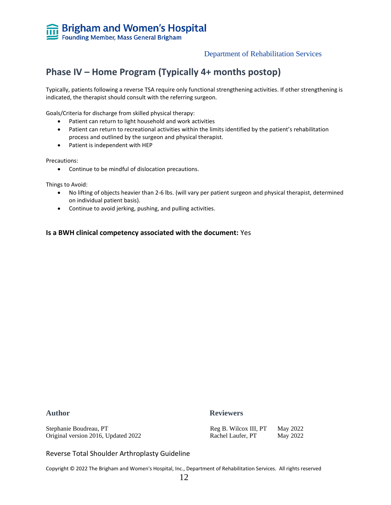# **Phase IV – Home Program (Typically 4+ months postop)**

Typically, patients following a reverse TSA require only functional strengthening activities. If other strengthening is indicated, the therapist should consult with the referring surgeon.

Goals/Criteria for discharge from skilled physical therapy:

- Patient can return to light household and work activities
- Patient can return to recreational activities within the limits identified by the patient's rehabilitation process and outlined by the surgeon and physical therapist.
- Patient is independent with HEP

Precautions:

• Continue to be mindful of dislocation precautions.

Things to Avoid:

- No lifting of objects heavier than 2-6 lbs. (will vary per patient surgeon and physical therapist, determined on individual patient basis).
- Continue to avoid jerking, pushing, and pulling activities.

#### **Is a BWH clinical competency associated with the document:** Yes

Stephanie Boudreau, PT Original version 2016, Updated 2022

#### Author **Reviewers**

| Reg B. Wilcox III, PT | May 2022 |
|-----------------------|----------|
| Rachel Laufer, PT     | May 2022 |

Reverse Total Shoulder Arthroplasty Guideline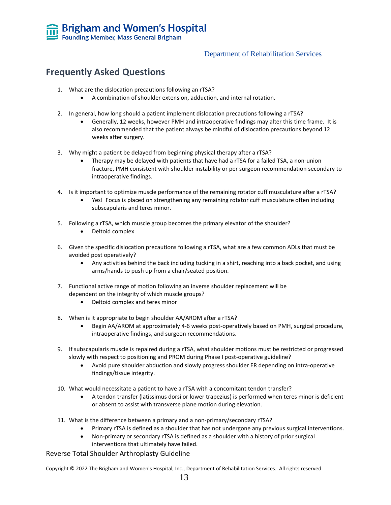### **Frequently Asked Questions**

- 1. What are the dislocation precautions following an rTSA?
	- A combination of shoulder extension, adduction, and internal rotation.
- 2. In general, how long should a patient implement dislocation precautions following a rTSA?
	- Generally, 12 weeks, however PMH and intraoperative findings may alter this time frame. It is also recommended that the patient always be mindful of dislocation precautions beyond 12 weeks after surgery.
- 3. Why might a patient be delayed from beginning physical therapy after a rTSA?
	- Therapy may be delayed with patients that have had a rTSA for a failed TSA, a non-union fracture, PMH consistent with shoulder instability or per surgeon recommendation secondary to intraoperative findings.
- 4. Is it important to optimize muscle performance of the remaining rotator cuff musculature after a rTSA?
	- Yes! Focus is placed on strengthening any remaining rotator cuff musculature often including subscapularis and teres minor.
- 5. Following a rTSA, which muscle group becomes the primary elevator of the shoulder?
	- Deltoid complex
- 6. Given the specific dislocation precautions following a rTSA, what are a few common ADLs that must be avoided post operatively?
	- Any activities behind the back including tucking in a shirt, reaching into a back pocket, and using arms/hands to push up from a chair/seated position.
- 7. Functional active range of motion following an inverse shoulder replacement will be dependent on the integrity of which muscle groups?
	- Deltoid complex and teres minor
- 8. When is it appropriate to begin shoulder AA/AROM after a rTSA?
	- Begin AA/AROM at approximately 4-6 weeks post-operatively based on PMH, surgical procedure, intraoperative findings, and surgeon recommendations.
- 9. If subscapularis muscle is repaired during a rTSA, what shoulder motions must be restricted or progressed slowly with respect to positioning and PROM during Phase I post-operative guideline?
	- Avoid pure shoulder abduction and slowly progress shoulder ER depending on intra-operative findings/tissue integrity.
- 10. What would necessitate a patient to have a rTSA with a concomitant tendon transfer?
	- A tendon transfer (latissimus dorsi or lower trapezius) is performed when teres minor is deficient or absent to assist with transverse plane motion during elevation.
- 11. What is the difference between a primary and a non-primary/secondary rTSA?
	- Primary rTSA is defined as a shoulder that has not undergone any previous surgical interventions.
	- Non-primary or secondary rTSA is defined as a shoulder with a history of prior surgical interventions that ultimately have failed.

#### Reverse Total Shoulder Arthroplasty Guideline